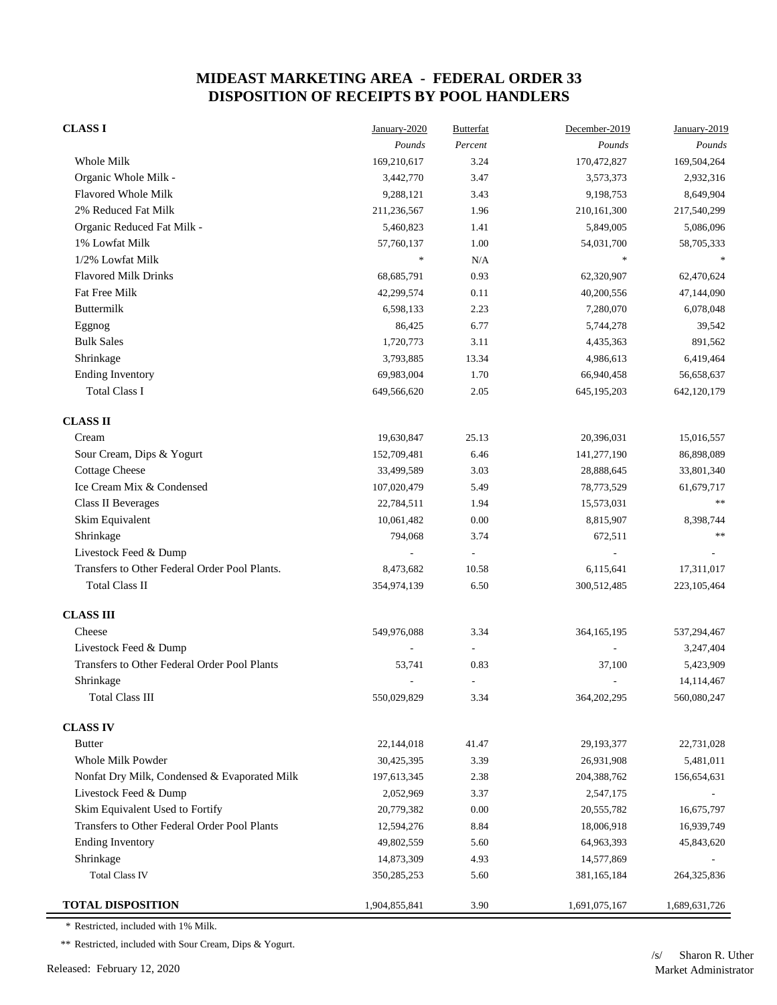| <b>CLASS I</b>                                | January-2020  | <b>Butterfat</b> | December-2019 | January-2019  |
|-----------------------------------------------|---------------|------------------|---------------|---------------|
|                                               | Pounds        | Percent          | Pounds        | Pounds        |
| Whole Milk                                    | 169,210,617   | 3.24             | 170,472,827   | 169,504,264   |
| Organic Whole Milk -                          | 3,442,770     | 3.47             | 3,573,373     | 2,932,316     |
| <b>Flavored Whole Milk</b>                    | 9,288,121     | 3.43             | 9,198,753     | 8,649,904     |
| 2% Reduced Fat Milk                           | 211,236,567   | 1.96             | 210, 161, 300 | 217,540,299   |
| Organic Reduced Fat Milk -                    | 5,460,823     | 1.41             | 5,849,005     | 5,086,096     |
| 1% Lowfat Milk                                | 57,760,137    | 1.00             | 54,031,700    | 58,705,333    |
| 1/2% Lowfat Milk                              | $\ast$        | N/A              | $\frac{1}{2}$ |               |
| <b>Flavored Milk Drinks</b>                   | 68,685,791    | 0.93             | 62,320,907    | 62,470,624    |
| Fat Free Milk                                 | 42,299,574    | 0.11             | 40,200,556    | 47,144,090    |
| Buttermilk                                    | 6,598,133     | 2.23             | 7,280,070     | 6,078,048     |
| Eggnog                                        | 86,425        | 6.77             | 5,744,278     | 39,542        |
| <b>Bulk Sales</b>                             | 1,720,773     | 3.11             | 4,435,363     | 891,562       |
| Shrinkage                                     | 3,793,885     | 13.34            | 4,986,613     | 6,419,464     |
| <b>Ending Inventory</b>                       | 69,983,004    | 1.70             | 66,940,458    | 56,658,637    |
| <b>Total Class I</b>                          | 649,566,620   | 2.05             | 645, 195, 203 | 642,120,179   |
| <b>CLASS II</b>                               |               |                  |               |               |
| Cream                                         | 19,630,847    | 25.13            | 20,396,031    | 15,016,557    |
| Sour Cream, Dips & Yogurt                     | 152,709,481   | 6.46             | 141,277,190   | 86,898,089    |
| <b>Cottage Cheese</b>                         | 33,499,589    | 3.03             | 28,888,645    | 33,801,340    |
| Ice Cream Mix & Condensed                     | 107,020,479   | 5.49             | 78,773,529    | 61,679,717    |
| <b>Class II Beverages</b>                     | 22,784,511    | 1.94             | 15,573,031    | **            |
| Skim Equivalent                               | 10,061,482    | 0.00             | 8,815,907     | 8,398,744     |
| Shrinkage                                     | 794,068       | 3.74             | 672,511       | $\ast$ $\ast$ |
| Livestock Feed & Dump                         |               |                  |               |               |
| Transfers to Other Federal Order Pool Plants. | 8,473,682     | 10.58            | 6,115,641     | 17,311,017    |
| <b>Total Class II</b>                         | 354,974,139   | 6.50             | 300,512,485   | 223, 105, 464 |
| <b>CLASS III</b>                              |               |                  |               |               |
| Cheese                                        | 549,976,088   | 3.34             | 364, 165, 195 | 537,294,467   |
| Livestock Feed & Dump                         |               |                  |               | 3,247,404     |
| Transfers to Other Federal Order Pool Plants  | 53,741        | 0.83             | 37,100        | 5,423,909     |
| Shrinkage                                     |               | $\overline{a}$   |               | 14,114,467    |
| <b>Total Class III</b>                        | 550,029,829   | 3.34             | 364,202,295   | 560,080,247   |
| <b>CLASS IV</b>                               |               |                  |               |               |
| <b>Butter</b>                                 | 22,144,018    | 41.47            | 29,193,377    | 22,731,028    |
| Whole Milk Powder                             | 30,425,395    | 3.39             | 26,931,908    | 5,481,011     |
| Nonfat Dry Milk, Condensed & Evaporated Milk  | 197,613,345   | 2.38             | 204,388,762   | 156,654,631   |
| Livestock Feed & Dump                         | 2,052,969     | 3.37             | 2,547,175     |               |
| Skim Equivalent Used to Fortify               | 20,779,382    | 0.00             | 20,555,782    | 16,675,797    |
| Transfers to Other Federal Order Pool Plants  | 12,594,276    | 8.84             | 18,006,918    | 16,939,749    |
| <b>Ending Inventory</b>                       | 49,802,559    | 5.60             | 64,963,393    | 45,843,620    |
| Shrinkage                                     | 14,873,309    | 4.93             | 14,577,869    |               |
| <b>Total Class IV</b>                         | 350,285,253   | 5.60             | 381,165,184   | 264,325,836   |
| <b>TOTAL DISPOSITION</b>                      | 1,904,855,841 | 3.90             | 1,691,075,167 | 1,689,631,726 |

\* Restricted, included with 1% Milk.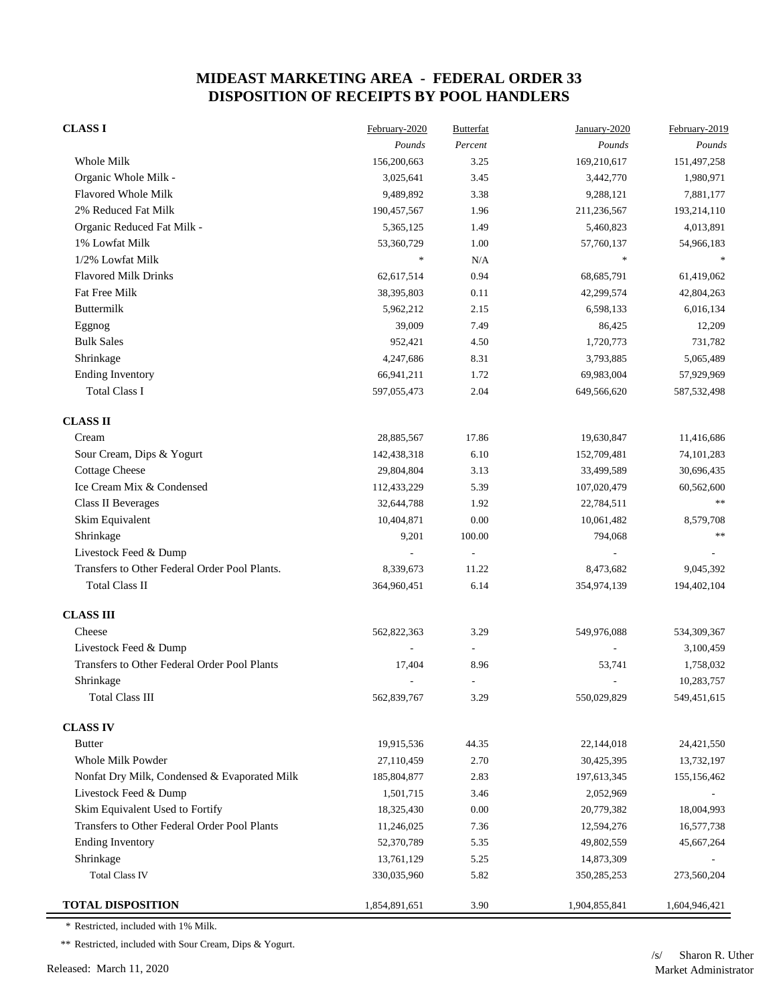| <b>CLASS I</b>                                | February-2020 | <b>Butterfat</b>         | January-2020             | February-2019 |
|-----------------------------------------------|---------------|--------------------------|--------------------------|---------------|
|                                               | Pounds        | Percent                  | Pounds                   | Pounds        |
| Whole Milk                                    | 156,200,663   | 3.25                     | 169,210,617              | 151,497,258   |
| Organic Whole Milk -                          | 3,025,641     | 3.45                     | 3,442,770                | 1,980,971     |
| <b>Flavored Whole Milk</b>                    | 9,489,892     | 3.38                     | 9,288,121                | 7,881,177     |
| 2% Reduced Fat Milk                           | 190,457,567   | 1.96                     | 211,236,567              | 193,214,110   |
| Organic Reduced Fat Milk -                    | 5,365,125     | 1.49                     | 5,460,823                | 4,013,891     |
| 1% Lowfat Milk                                | 53,360,729    | 1.00                     | 57,760,137               | 54,966,183    |
| 1/2% Lowfat Milk                              | $\ast$        | N/A                      | $\frac{d\mathbf{r}}{dt}$ |               |
| <b>Flavored Milk Drinks</b>                   | 62,617,514    | 0.94                     | 68, 685, 791             | 61,419,062    |
| Fat Free Milk                                 | 38,395,803    | 0.11                     | 42,299,574               | 42,804,263    |
| Buttermilk                                    | 5,962,212     | 2.15                     | 6,598,133                | 6,016,134     |
| Eggnog                                        | 39,009        | 7.49                     | 86,425                   | 12,209        |
| <b>Bulk Sales</b>                             | 952,421       | 4.50                     | 1,720,773                | 731,782       |
| Shrinkage                                     | 4,247,686     | 8.31                     | 3,793,885                | 5,065,489     |
| <b>Ending Inventory</b>                       | 66,941,211    | 1.72                     | 69,983,004               | 57,929,969    |
| <b>Total Class I</b>                          | 597,055,473   | 2.04                     | 649,566,620              | 587, 532, 498 |
| <b>CLASS II</b>                               |               |                          |                          |               |
| Cream                                         | 28,885,567    | 17.86                    | 19,630,847               | 11,416,686    |
| Sour Cream, Dips & Yogurt                     | 142,438,318   | 6.10                     | 152,709,481              | 74, 101, 283  |
| <b>Cottage Cheese</b>                         | 29,804,804    | 3.13                     | 33,499,589               | 30,696,435    |
| Ice Cream Mix & Condensed                     | 112,433,229   | 5.39                     | 107,020,479              | 60,562,600    |
| Class II Beverages                            | 32,644,788    | 1.92                     | 22,784,511               | $\ast$        |
| Skim Equivalent                               | 10,404,871    | 0.00                     | 10,061,482               | 8,579,708     |
| Shrinkage                                     | 9,201         | 100.00                   | 794,068                  | $\ast$ $\ast$ |
| Livestock Feed & Dump                         |               | $\overline{\phantom{a}}$ |                          |               |
| Transfers to Other Federal Order Pool Plants. | 8,339,673     | 11.22                    | 8,473,682                | 9,045,392     |
| <b>Total Class II</b>                         | 364,960,451   | 6.14                     | 354,974,139              | 194,402,104   |
| <b>CLASS III</b>                              |               |                          |                          |               |
| Cheese                                        | 562,822,363   | 3.29                     | 549,976,088              | 534,309,367   |
| Livestock Feed & Dump                         |               |                          |                          | 3,100,459     |
| Transfers to Other Federal Order Pool Plants  | 17,404        | 8.96                     | 53,741                   | 1,758,032     |
| Shrinkage                                     |               | $\overline{a}$           |                          | 10,283,757    |
| <b>Total Class III</b>                        | 562,839,767   | 3.29                     | 550,029,829              | 549,451,615   |
| <b>CLASS IV</b>                               |               |                          |                          |               |
| <b>Butter</b>                                 | 19,915,536    | 44.35                    | 22,144,018               | 24,421,550    |
| Whole Milk Powder                             | 27,110,459    | 2.70                     | 30,425,395               | 13,732,197    |
| Nonfat Dry Milk, Condensed & Evaporated Milk  | 185,804,877   | 2.83                     | 197,613,345              | 155,156,462   |
| Livestock Feed & Dump                         | 1,501,715     | 3.46                     | 2,052,969                |               |
| Skim Equivalent Used to Fortify               | 18,325,430    | $0.00\,$                 | 20,779,382               | 18,004,993    |
| Transfers to Other Federal Order Pool Plants  | 11,246,025    | 7.36                     | 12,594,276               | 16,577,738    |
| <b>Ending Inventory</b>                       | 52,370,789    | 5.35                     | 49,802,559               | 45,667,264    |
| Shrinkage                                     | 13,761,129    | 5.25                     | 14,873,309               |               |
| <b>Total Class IV</b>                         | 330,035,960   | 5.82                     | 350, 285, 253            | 273,560,204   |
| <b>TOTAL DISPOSITION</b>                      | 1,854,891,651 | 3.90                     | 1,904,855,841            | 1,604,946,421 |

\* Restricted, included with 1% Milk.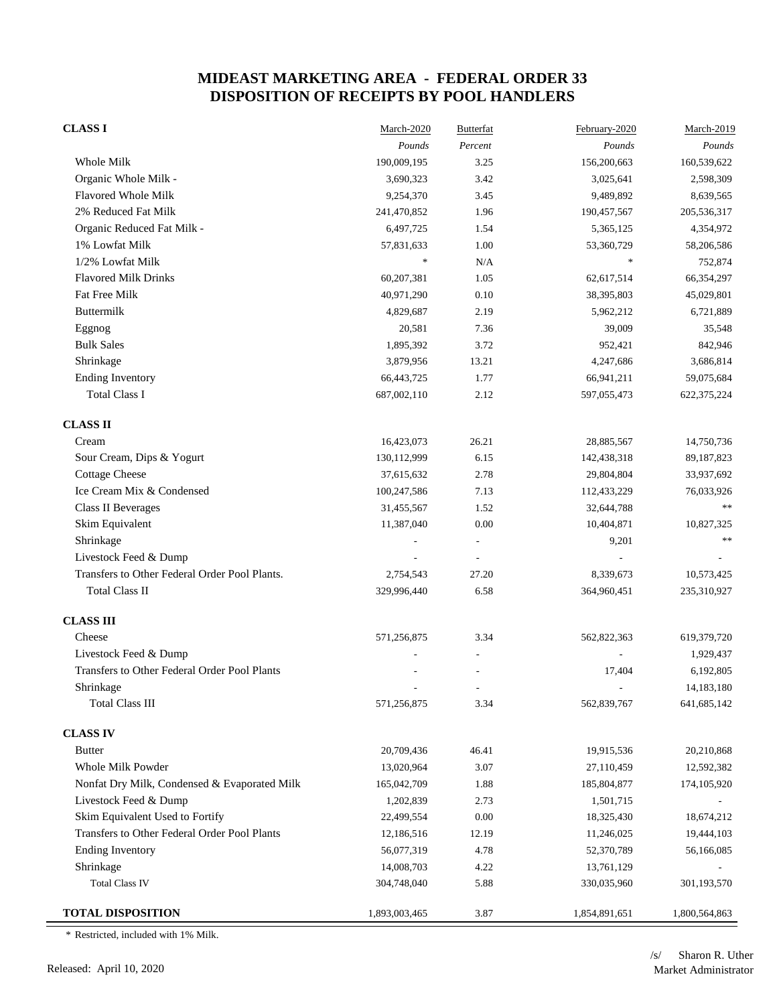| <b>CLASS I</b>                                | March-2020    | <b>Butterfat</b> | February-2020 | March-2019    |
|-----------------------------------------------|---------------|------------------|---------------|---------------|
|                                               | Pounds        | Percent          | Pounds        | Pounds        |
| Whole Milk                                    | 190,009,195   | 3.25             | 156,200,663   | 160,539,622   |
| Organic Whole Milk -                          | 3,690,323     | 3.42             | 3,025,641     | 2,598,309     |
| Flavored Whole Milk                           | 9,254,370     | 3.45             | 9,489,892     | 8,639,565     |
| 2% Reduced Fat Milk                           | 241,470,852   | 1.96             | 190,457,567   | 205,536,317   |
| Organic Reduced Fat Milk -                    | 6,497,725     | 1.54             | 5,365,125     | 4,354,972     |
| 1% Lowfat Milk                                | 57,831,633    | 1.00             | 53,360,729    | 58,206,586    |
| 1/2% Lowfat Milk                              | $\ast$        | N/A              | $\ast$        | 752,874       |
| <b>Flavored Milk Drinks</b>                   | 60,207,381    | 1.05             | 62,617,514    | 66,354,297    |
| <b>Fat Free Milk</b>                          | 40,971,290    | 0.10             | 38,395,803    | 45,029,801    |
| Buttermilk                                    | 4,829,687     | 2.19             | 5,962,212     | 6,721,889     |
| Eggnog                                        | 20,581        | 7.36             | 39,009        | 35,548        |
| <b>Bulk Sales</b>                             | 1,895,392     | 3.72             | 952,421       | 842,946       |
| Shrinkage                                     | 3,879,956     | 13.21            | 4,247,686     | 3,686,814     |
| <b>Ending Inventory</b>                       | 66,443,725    | 1.77             | 66,941,211    | 59,075,684    |
| <b>Total Class I</b>                          | 687,002,110   | 2.12             | 597,055,473   | 622, 375, 224 |
| <b>CLASS II</b>                               |               |                  |               |               |
| Cream                                         | 16,423,073    | 26.21            | 28,885,567    | 14,750,736    |
| Sour Cream, Dips & Yogurt                     | 130,112,999   | 6.15             | 142,438,318   | 89, 187, 823  |
| <b>Cottage Cheese</b>                         | 37,615,632    | 2.78             | 29,804,804    | 33,937,692    |
| Ice Cream Mix & Condensed                     | 100,247,586   | 7.13             | 112,433,229   | 76,033,926    |
| <b>Class II Beverages</b>                     | 31,455,567    | 1.52             | 32,644,788    | **            |
| Skim Equivalent                               | 11,387,040    | $0.00\,$         | 10,404,871    | 10,827,325    |
| Shrinkage                                     |               |                  | 9,201         | **            |
| Livestock Feed & Dump                         |               |                  |               |               |
| Transfers to Other Federal Order Pool Plants. | 2,754,543     | 27.20            | 8,339,673     | 10,573,425    |
| <b>Total Class II</b>                         | 329,996,440   | 6.58             | 364,960,451   | 235,310,927   |
| <b>CLASS III</b>                              |               |                  |               |               |
| Cheese                                        | 571,256,875   | 3.34             | 562,822,363   | 619,379,720   |
| Livestock Feed & Dump                         |               |                  |               | 1,929,437     |
| Transfers to Other Federal Order Pool Plants  |               |                  | 17,404        | 6,192,805     |
| Shrinkage                                     |               |                  |               | 14,183,180    |
| <b>Total Class III</b>                        | 571,256,875   | 3.34             | 562,839,767   | 641, 685, 142 |
| <b>CLASS IV</b>                               |               |                  |               |               |
| <b>Butter</b>                                 | 20,709,436    | 46.41            | 19,915,536    | 20,210,868    |
| Whole Milk Powder                             | 13,020,964    | 3.07             | 27,110,459    | 12,592,382    |
| Nonfat Dry Milk, Condensed & Evaporated Milk  | 165,042,709   | 1.88             | 185,804,877   | 174,105,920   |
| Livestock Feed & Dump                         | 1,202,839     | 2.73             | 1,501,715     |               |
| Skim Equivalent Used to Fortify               | 22,499,554    | $0.00\,$         | 18,325,430    | 18,674,212    |
| Transfers to Other Federal Order Pool Plants  | 12,186,516    | 12.19            | 11,246,025    | 19,444,103    |
| <b>Ending Inventory</b>                       | 56,077,319    | 4.78             | 52,370,789    | 56,166,085    |
| Shrinkage                                     | 14,008,703    | 4.22             | 13,761,129    |               |
| <b>Total Class IV</b>                         | 304,748,040   | 5.88             | 330,035,960   | 301,193,570   |
| <b>TOTAL DISPOSITION</b>                      | 1,893,003,465 | 3.87             | 1,854,891,651 | 1,800,564,863 |

\* Restricted, included with 1% Milk.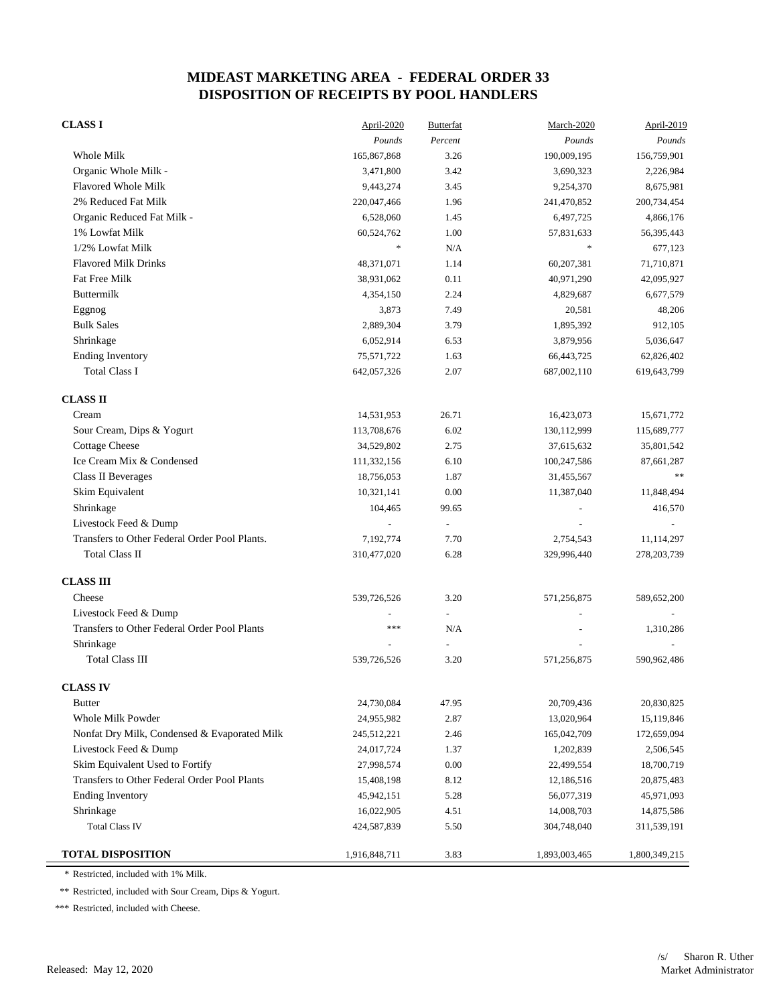| <b>CLASSI</b>                                 | April-2020    | Butterfat     | March-2020    | April-2019    |
|-----------------------------------------------|---------------|---------------|---------------|---------------|
|                                               | Pounds        | Percent       | Pounds        | Pounds        |
| Whole Milk                                    | 165,867,868   | 3.26          | 190,009,195   | 156,759,901   |
| Organic Whole Milk -                          | 3,471,800     | 3.42          | 3,690,323     | 2,226,984     |
| Flavored Whole Milk                           | 9,443,274     | 3.45          | 9,254,370     | 8,675,981     |
| 2% Reduced Fat Milk                           | 220,047,466   | 1.96          | 241,470,852   | 200,734,454   |
| Organic Reduced Fat Milk -                    | 6,528,060     | 1.45          | 6,497,725     | 4,866,176     |
| 1% Lowfat Milk                                | 60,524,762    | 1.00          | 57,831,633    | 56,395,443    |
| 1/2% Lowfat Milk                              | $\ast$        | N/A           | *             | 677,123       |
| <b>Flavored Milk Drinks</b>                   | 48,371,071    | 1.14          | 60,207,381    | 71,710,871    |
| Fat Free Milk                                 | 38,931,062    | 0.11          | 40,971,290    | 42,095,927    |
| Buttermilk                                    | 4,354,150     | 2.24          | 4,829,687     | 6,677,579     |
| Eggnog                                        | 3,873         | 7.49          | 20,581        | 48,206        |
| <b>Bulk Sales</b>                             | 2,889,304     | 3.79          | 1,895,392     | 912,105       |
| Shrinkage                                     | 6,052,914     | 6.53          | 3,879,956     | 5,036,647     |
| <b>Ending Inventory</b>                       | 75,571,722    | 1.63          | 66,443,725    | 62,826,402    |
| <b>Total Class I</b>                          | 642,057,326   | 2.07          | 687,002,110   | 619,643,799   |
| <b>CLASS II</b>                               |               |               |               |               |
| Cream                                         | 14,531,953    | 26.71         | 16,423,073    | 15,671,772    |
| Sour Cream, Dips & Yogurt                     | 113,708,676   | 6.02          | 130,112,999   | 115,689,777   |
| <b>Cottage Cheese</b>                         | 34,529,802    | 2.75          | 37,615,632    | 35,801,542    |
| Ice Cream Mix & Condensed                     | 111,332,156   | 6.10          | 100,247,586   | 87,661,287    |
| <b>Class II Beverages</b>                     | 18,756,053    | 1.87          | 31,455,567    | $***$         |
| Skim Equivalent                               | 10,321,141    | 0.00          | 11,387,040    | 11,848,494    |
| Shrinkage                                     | 104,465       | 99.65         |               | 416,570       |
| Livestock Feed & Dump                         |               | $\frac{1}{2}$ |               |               |
| Transfers to Other Federal Order Pool Plants. | 7,192,774     | 7.70          | 2,754,543     | 11,114,297    |
| <b>Total Class II</b>                         | 310,477,020   | 6.28          | 329,996,440   | 278, 203, 739 |
| <b>CLASS III</b>                              |               |               |               |               |
| Cheese                                        | 539,726,526   | 3.20          | 571,256,875   | 589,652,200   |
| Livestock Feed & Dump                         |               | ÷,            |               |               |
| Transfers to Other Federal Order Pool Plants  | ***           | N/A           |               | 1,310,286     |
| Shrinkage                                     |               |               |               |               |
| <b>Total Class III</b>                        | 539,726,526   | 3.20          | 571,256,875   | 590,962,486   |
| <b>CLASS IV</b>                               |               |               |               |               |
| <b>Butter</b>                                 | 24,730,084    | 47.95         | 20,709,436    | 20,830,825    |
| Whole Milk Powder                             | 24,955,982    | 2.87          | 13,020,964    | 15,119,846    |
| Nonfat Dry Milk, Condensed & Evaporated Milk  | 245,512,221   | 2.46          | 165,042,709   | 172,659,094   |
| Livestock Feed & Dump                         | 24,017,724    | 1.37          | 1,202,839     | 2,506,545     |
| Skim Equivalent Used to Fortify               | 27,998,574    | 0.00          | 22,499,554    | 18,700,719    |
| Transfers to Other Federal Order Pool Plants  | 15,408,198    | 8.12          | 12,186,516    | 20,875,483    |
| <b>Ending Inventory</b>                       | 45,942,151    | 5.28          | 56,077,319    | 45,971,093    |
| Shrinkage                                     | 16,022,905    | 4.51          | 14,008,703    | 14,875,586    |
| <b>Total Class IV</b>                         | 424,587,839   | 5.50          | 304,748,040   | 311,539,191   |
| <b>TOTAL DISPOSITION</b>                      | 1,916,848,711 | 3.83          | 1,893,003,465 | 1,800,349,215 |

\* Restricted, included with 1% Milk.

\*\* Restricted, included with Sour Cream, Dips & Yogurt.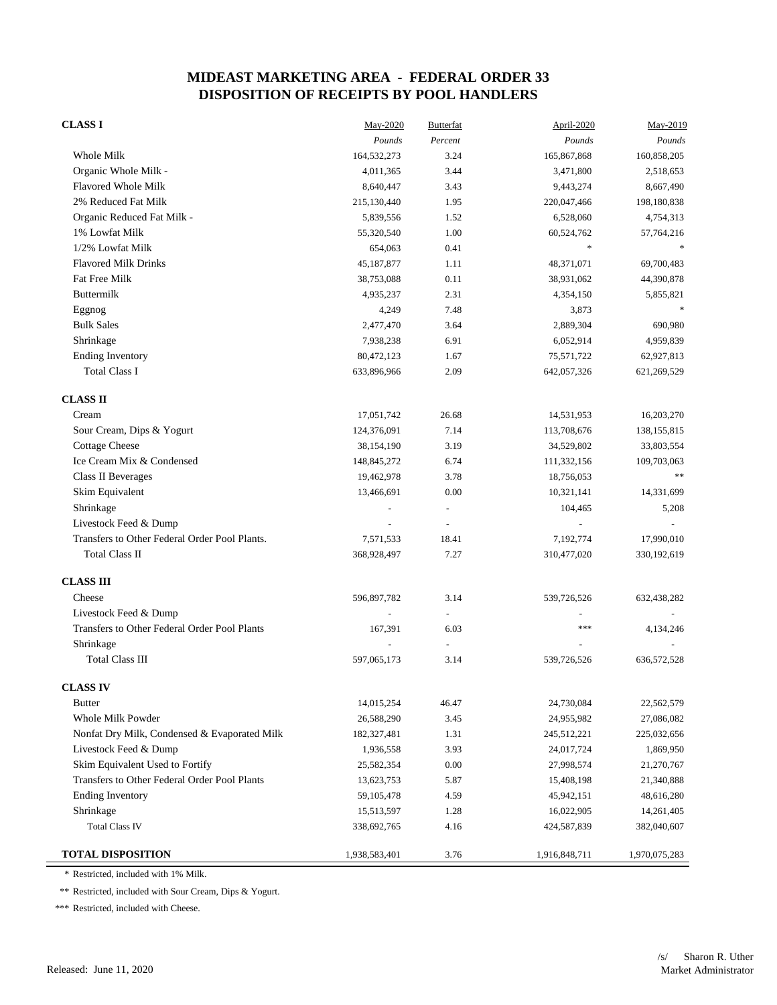| <b>CLASS I</b>                                | May-2020      | <b>Butterfat</b> | April-2020               | May-2019      |
|-----------------------------------------------|---------------|------------------|--------------------------|---------------|
|                                               | Pounds        | Percent          | Pounds                   | Pounds        |
| Whole Milk                                    | 164,532,273   | 3.24             | 165,867,868              | 160,858,205   |
| Organic Whole Milk -                          | 4,011,365     | 3.44             | 3,471,800                | 2,518,653     |
| Flavored Whole Milk                           | 8,640,447     | 3.43             | 9,443,274                | 8,667,490     |
| 2% Reduced Fat Milk                           | 215,130,440   | 1.95             | 220,047,466              | 198,180,838   |
| Organic Reduced Fat Milk -                    | 5,839,556     | 1.52             | 6,528,060                | 4,754,313     |
| 1% Lowfat Milk                                | 55,320,540    | 1.00             | 60,524,762               | 57,764,216    |
| 1/2% Lowfat Milk                              | 654,063       | 0.41             | $\ast$                   |               |
| <b>Flavored Milk Drinks</b>                   | 45,187,877    | 1.11             | 48,371,071               | 69,700,483    |
| Fat Free Milk                                 | 38,753,088    | 0.11             | 38,931,062               | 44,390,878    |
| Buttermilk                                    | 4,935,237     | 2.31             | 4,354,150                | 5,855,821     |
| Eggnog                                        | 4,249         | 7.48             | 3,873                    |               |
| <b>Bulk Sales</b>                             | 2,477,470     | 3.64             | 2,889,304                | 690,980       |
| Shrinkage                                     | 7,938,238     | 6.91             | 6,052,914                | 4,959,839     |
| <b>Ending Inventory</b>                       | 80,472,123    | 1.67             | 75,571,722               | 62,927,813    |
| <b>Total Class I</b>                          | 633,896,966   | 2.09             | 642,057,326              | 621,269,529   |
| <b>CLASS II</b>                               |               |                  |                          |               |
| Cream                                         | 17,051,742    | 26.68            | 14,531,953               | 16,203,270    |
| Sour Cream, Dips & Yogurt                     | 124,376,091   | 7.14             | 113,708,676              | 138, 155, 815 |
| <b>Cottage Cheese</b>                         | 38,154,190    | 3.19             | 34,529,802               | 33,803,554    |
| Ice Cream Mix & Condensed                     | 148,845,272   | 6.74             | 111,332,156              | 109,703,063   |
| Class II Beverages                            | 19,462,978    | 3.78             | 18,756,053               | $***$         |
| Skim Equivalent                               | 13,466,691    | 0.00             | 10,321,141               | 14,331,699    |
| Shrinkage                                     |               | $\overline{a}$   | 104,465                  | 5,208         |
| Livestock Feed & Dump                         |               | ÷,               |                          |               |
| Transfers to Other Federal Order Pool Plants. | 7,571,533     | 18.41            | 7,192,774                | 17,990,010    |
| <b>Total Class II</b>                         | 368,928,497   | 7.27             | 310,477,020              | 330, 192, 619 |
| <b>CLASS III</b>                              |               |                  |                          |               |
| Cheese                                        | 596,897,782   | 3.14             | 539,726,526              | 632,438,282   |
| Livestock Feed & Dump                         |               |                  |                          |               |
| Transfers to Other Federal Order Pool Plants  | 167,391       | 6.03             | ***                      | 4,134,246     |
| Shrinkage                                     |               | ÷,               | $\overline{\phantom{a}}$ |               |
| <b>Total Class III</b>                        | 597,065,173   | 3.14             | 539,726,526              | 636, 572, 528 |
| <b>CLASS IV</b>                               |               |                  |                          |               |
| <b>Butter</b>                                 | 14,015,254    | 46.47            | 24,730,084               | 22,562,579    |
| Whole Milk Powder                             | 26,588,290    | 3.45             | 24,955,982               | 27,086,082    |
| Nonfat Dry Milk, Condensed & Evaporated Milk  | 182,327,481   | 1.31             | 245,512,221              | 225,032,656   |
| Livestock Feed & Dump                         | 1,936,558     | 3.93             | 24,017,724               | 1,869,950     |
| Skim Equivalent Used to Fortify               | 25,582,354    | 0.00             | 27,998,574               | 21,270,767    |
| Transfers to Other Federal Order Pool Plants  | 13,623,753    | 5.87             | 15,408,198               | 21,340,888    |
| <b>Ending Inventory</b>                       | 59,105,478    | 4.59             | 45,942,151               | 48,616,280    |
| Shrinkage                                     | 15,513,597    | 1.28             | 16,022,905               | 14,261,405    |
| <b>Total Class IV</b>                         | 338,692,765   | 4.16             | 424,587,839              | 382,040,607   |
| <b>TOTAL DISPOSITION</b>                      | 1,938,583,401 | 3.76             | 1,916,848,711            | 1,970,075,283 |

\* Restricted, included with 1% Milk.

\*\* Restricted, included with Sour Cream, Dips & Yogurt.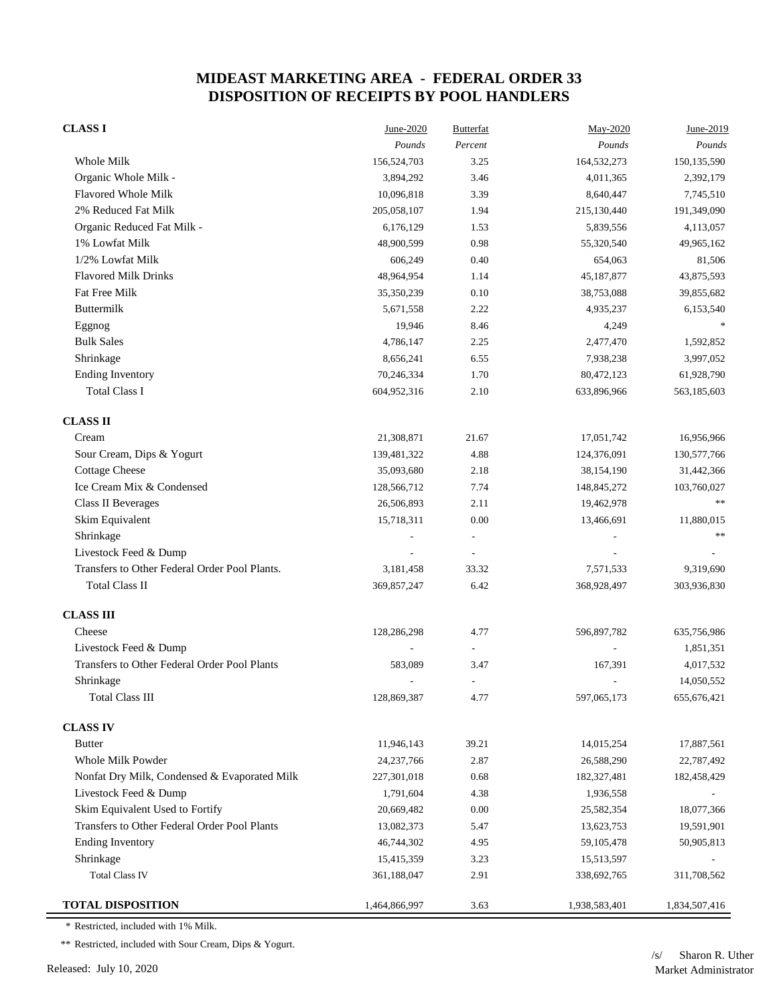| <b>CLASS I</b>                                | June-2020     | <b>Butterfat</b>         | May-2020       | June-2019     |
|-----------------------------------------------|---------------|--------------------------|----------------|---------------|
|                                               | Pounds        | Percent                  | Pounds         | Pounds        |
| Whole Milk                                    | 156,524,703   | 3.25                     | 164,532,273    | 150,135,590   |
| Organic Whole Milk -                          | 3,894,292     | 3.46                     | 4,011,365      | 2,392,179     |
| <b>Flavored Whole Milk</b>                    | 10,096,818    | 3.39                     | 8,640,447      | 7,745,510     |
| 2% Reduced Fat Milk                           | 205,058,107   | 1.94                     | 215,130,440    | 191,349,090   |
| Organic Reduced Fat Milk -                    | 6,176,129     | 1.53                     | 5,839,556      | 4,113,057     |
| 1% Lowfat Milk                                | 48,900,599    | 0.98                     | 55,320,540     | 49,965,162    |
| 1/2% Lowfat Milk                              | 606,249       | 0.40                     | 654,063        | 81,506        |
| <b>Flavored Milk Drinks</b>                   | 48,964,954    | 1.14                     | 45,187,877     | 43,875,593    |
| Fat Free Milk                                 | 35,350,239    | 0.10                     | 38,753,088     | 39,855,682    |
| Buttermilk                                    | 5,671,558     | 2.22                     | 4,935,237      | 6,153,540     |
| Eggnog                                        | 19,946        | 8.46                     | 4,249          |               |
| <b>Bulk Sales</b>                             | 4,786,147     | 2.25                     | 2,477,470      | 1,592,852     |
| Shrinkage                                     | 8,656,241     | 6.55                     | 7,938,238      | 3,997,052     |
| <b>Ending Inventory</b>                       | 70,246,334    | 1.70                     | 80,472,123     | 61,928,790    |
| <b>Total Class I</b>                          | 604,952,316   | 2.10                     | 633,896,966    | 563,185,603   |
| <b>CLASS II</b>                               |               |                          |                |               |
| Cream                                         | 21,308,871    | 21.67                    | 17,051,742     | 16,956,966    |
| Sour Cream, Dips & Yogurt                     | 139,481,322   | 4.88                     | 124,376,091    | 130,577,766   |
| <b>Cottage Cheese</b>                         | 35,093,680    | 2.18                     | 38,154,190     | 31,442,366    |
| Ice Cream Mix & Condensed                     | 128,566,712   | 7.74                     | 148,845,272    | 103,760,027   |
| <b>Class II Beverages</b>                     | 26,506,893    | 2.11                     | 19,462,978     | $\ast$        |
| Skim Equivalent                               | 15,718,311    | 0.00                     | 13,466,691     | 11,880,015    |
| Shrinkage                                     |               |                          |                | $\ast$        |
| Livestock Feed & Dump                         |               | $\overline{\phantom{a}}$ |                |               |
| Transfers to Other Federal Order Pool Plants. | 3,181,458     | 33.32                    | 7,571,533      | 9,319,690     |
| <b>Total Class II</b>                         | 369,857,247   | 6.42                     | 368,928,497    | 303,936,830   |
| <b>CLASS III</b>                              |               |                          |                |               |
| Cheese                                        | 128,286,298   | 4.77                     | 596,897,782    | 635,756,986   |
| Livestock Feed & Dump                         |               |                          | $\overline{a}$ | 1,851,351     |
| Transfers to Other Federal Order Pool Plants  | 583,089       | 3.47                     | 167,391        | 4,017,532     |
| Shrinkage                                     |               |                          |                | 14,050,552    |
| <b>Total Class III</b>                        | 128,869,387   | 4.77                     | 597,065,173    | 655, 676, 421 |
| <b>CLASS IV</b>                               |               |                          |                |               |
| <b>Butter</b>                                 | 11,946,143    | 39.21                    | 14,015,254     | 17,887,561    |
| Whole Milk Powder                             | 24, 237, 766  | 2.87                     | 26,588,290     | 22,787,492    |
| Nonfat Dry Milk, Condensed & Evaporated Milk  | 227,301,018   | 0.68                     | 182,327,481    | 182,458,429   |
| Livestock Feed & Dump                         | 1,791,604     | 4.38                     | 1,936,558      |               |
| Skim Equivalent Used to Fortify               | 20,669,482    | 0.00                     | 25,582,354     | 18,077,366    |
| Transfers to Other Federal Order Pool Plants  | 13,082,373    | 5.47                     | 13,623,753     | 19,591,901    |
| <b>Ending Inventory</b>                       | 46,744,302    | 4.95                     | 59,105,478     | 50,905,813    |
| Shrinkage                                     | 15,415,359    | 3.23                     | 15,513,597     |               |
| <b>Total Class IV</b>                         | 361,188,047   | 2.91                     | 338,692,765    | 311,708,562   |
| <b>TOTAL DISPOSITION</b>                      | 1,464,866,997 | 3.63                     | 1,938,583,401  | 1,834,507,416 |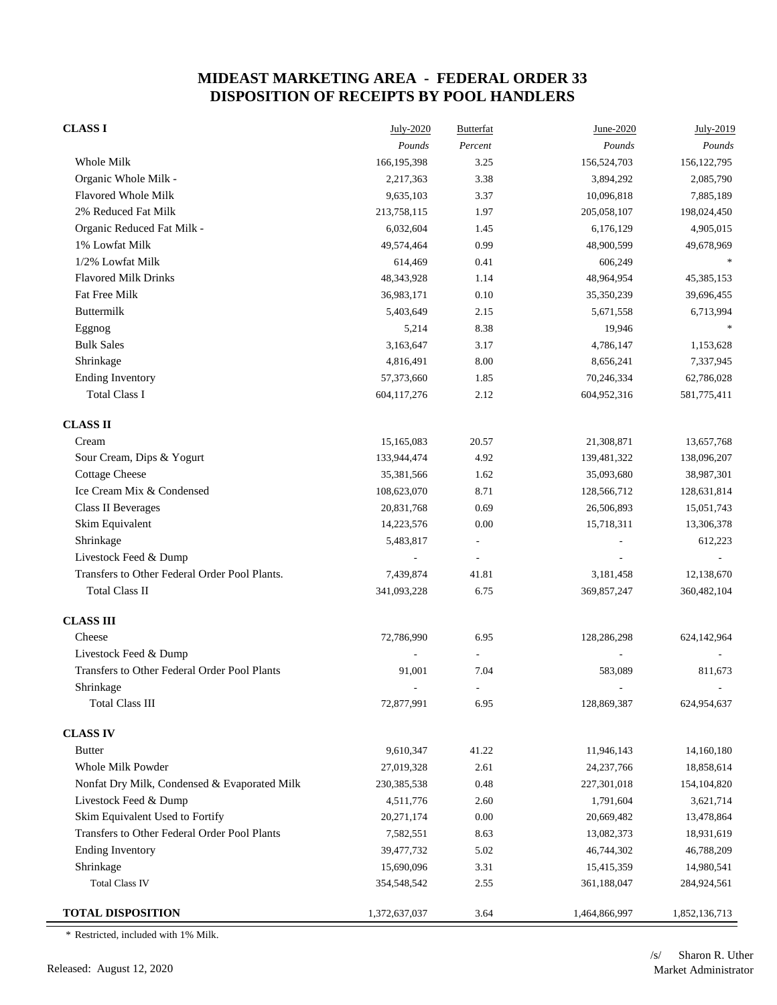| <b>CLASS I</b>                                | July-2020     | <b>Butterfat</b> | June-2020     | July-2019     |
|-----------------------------------------------|---------------|------------------|---------------|---------------|
|                                               | Pounds        | Percent          | Pounds        | Pounds        |
| Whole Milk                                    | 166,195,398   | 3.25             | 156,524,703   | 156, 122, 795 |
| Organic Whole Milk -                          | 2,217,363     | 3.38             | 3,894,292     | 2,085,790     |
| Flavored Whole Milk                           | 9,635,103     | 3.37             | 10,096,818    | 7,885,189     |
| 2% Reduced Fat Milk                           | 213,758,115   | 1.97             | 205,058,107   | 198,024,450   |
| Organic Reduced Fat Milk -                    | 6,032,604     | 1.45             | 6,176,129     | 4,905,015     |
| 1% Lowfat Milk                                | 49,574,464    | 0.99             | 48,900,599    | 49,678,969    |
| 1/2% Lowfat Milk                              | 614,469       | 0.41             | 606,249       |               |
| <b>Flavored Milk Drinks</b>                   | 48,343,928    | 1.14             | 48,964,954    | 45,385,153    |
| Fat Free Milk                                 | 36,983,171    | 0.10             | 35,350,239    | 39,696,455    |
| Buttermilk                                    | 5,403,649     | 2.15             | 5,671,558     | 6,713,994     |
| Eggnog                                        | 5,214         | 8.38             | 19,946        |               |
| <b>Bulk Sales</b>                             | 3,163,647     | 3.17             | 4,786,147     | 1,153,628     |
| Shrinkage                                     | 4,816,491     | 8.00             | 8,656,241     | 7,337,945     |
| <b>Ending Inventory</b>                       | 57,373,660    | 1.85             | 70,246,334    | 62,786,028    |
| <b>Total Class I</b>                          | 604, 117, 276 | 2.12             | 604,952,316   | 581,775,411   |
| <b>CLASS II</b>                               |               |                  |               |               |
| Cream                                         | 15,165,083    | 20.57            | 21,308,871    | 13,657,768    |
| Sour Cream, Dips & Yogurt                     | 133,944,474   | 4.92             | 139,481,322   | 138,096,207   |
| <b>Cottage Cheese</b>                         | 35,381,566    | 1.62             | 35,093,680    | 38,987,301    |
| Ice Cream Mix & Condensed                     | 108,623,070   | 8.71             | 128,566,712   | 128,631,814   |
| <b>Class II Beverages</b>                     | 20,831,768    | 0.69             | 26,506,893    | 15,051,743    |
| Skim Equivalent                               | 14,223,576    | 0.00             | 15,718,311    | 13,306,378    |
| Shrinkage                                     | 5,483,817     |                  |               | 612,223       |
| Livestock Feed & Dump                         |               |                  |               |               |
| Transfers to Other Federal Order Pool Plants. | 7,439,874     | 41.81            | 3,181,458     | 12,138,670    |
| <b>Total Class II</b>                         | 341,093,228   | 6.75             | 369,857,247   | 360,482,104   |
| <b>CLASS III</b>                              |               |                  |               |               |
| Cheese                                        | 72,786,990    | 6.95             | 128,286,298   | 624,142,964   |
| Livestock Feed & Dump                         |               |                  |               |               |
| Transfers to Other Federal Order Pool Plants  | 91,001        | 7.04             | 583,089       | 811,673       |
| Shrinkage                                     |               |                  |               |               |
| <b>Total Class III</b>                        | 72,877,991    | 6.95             | 128,869,387   | 624,954,637   |
| <b>CLASS IV</b>                               |               |                  |               |               |
| <b>Butter</b>                                 | 9,610,347     | 41.22            | 11,946,143    | 14,160,180    |
| Whole Milk Powder                             | 27,019,328    | 2.61             | 24, 237, 766  | 18,858,614    |
| Nonfat Dry Milk, Condensed & Evaporated Milk  | 230, 385, 538 | 0.48             | 227,301,018   | 154,104,820   |
| Livestock Feed & Dump                         | 4,511,776     | 2.60             | 1,791,604     | 3,621,714     |
| Skim Equivalent Used to Fortify               | 20,271,174    | $0.00\,$         | 20,669,482    | 13,478,864    |
| Transfers to Other Federal Order Pool Plants  | 7,582,551     | 8.63             | 13,082,373    | 18,931,619    |
| <b>Ending Inventory</b>                       | 39,477,732    | 5.02             | 46,744,302    | 46,788,209    |
| Shrinkage                                     | 15,690,096    | 3.31             | 15,415,359    | 14,980,541    |
| <b>Total Class IV</b>                         | 354,548,542   | 2.55             | 361,188,047   | 284,924,561   |
| <b>TOTAL DISPOSITION</b>                      | 1,372,637,037 | 3.64             | 1,464,866,997 | 1,852,136,713 |

\* Restricted, included with 1% Milk.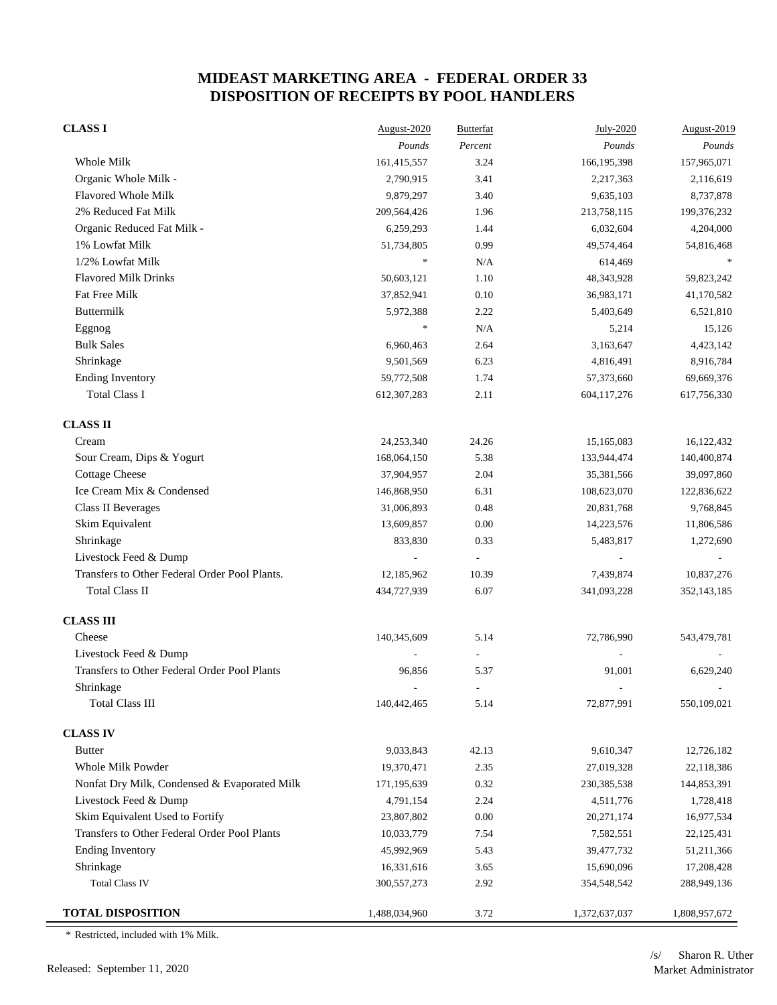| <b>CLASS I</b>                                | August-2020   | <b>Butterfat</b> | July-2020     | August-2019   |
|-----------------------------------------------|---------------|------------------|---------------|---------------|
|                                               | Pounds        | Percent          | Pounds        | Pounds        |
| Whole Milk                                    | 161,415,557   | 3.24             | 166,195,398   | 157,965,071   |
| Organic Whole Milk -                          | 2,790,915     | 3.41             | 2,217,363     | 2,116,619     |
| Flavored Whole Milk                           | 9,879,297     | 3.40             | 9,635,103     | 8,737,878     |
| 2% Reduced Fat Milk                           | 209,564,426   | 1.96             | 213,758,115   | 199,376,232   |
| Organic Reduced Fat Milk -                    | 6,259,293     | 1.44             | 6,032,604     | 4,204,000     |
| 1% Lowfat Milk                                | 51,734,805    | 0.99             | 49,574,464    | 54,816,468    |
| 1/2% Lowfat Milk                              | $\ast$        | N/A              | 614,469       |               |
| <b>Flavored Milk Drinks</b>                   | 50,603,121    | 1.10             | 48,343,928    | 59,823,242    |
| Fat Free Milk                                 | 37,852,941    | 0.10             | 36,983,171    | 41,170,582    |
| Buttermilk                                    | 5,972,388     | 2.22             | 5,403,649     | 6,521,810     |
| Eggnog                                        | $\ast$        | N/A              | 5,214         | 15,126        |
| <b>Bulk Sales</b>                             | 6,960,463     | 2.64             | 3,163,647     | 4,423,142     |
| Shrinkage                                     | 9,501,569     | 6.23             | 4,816,491     | 8,916,784     |
| <b>Ending Inventory</b>                       | 59,772,508    | 1.74             | 57,373,660    | 69,669,376    |
| <b>Total Class I</b>                          | 612,307,283   | 2.11             | 604,117,276   | 617,756,330   |
| <b>CLASS II</b>                               |               |                  |               |               |
| Cream                                         | 24,253,340    | 24.26            | 15,165,083    | 16,122,432    |
| Sour Cream, Dips & Yogurt                     | 168,064,150   | 5.38             | 133,944,474   | 140,400,874   |
| <b>Cottage Cheese</b>                         | 37,904,957    | 2.04             | 35,381,566    | 39,097,860    |
| Ice Cream Mix & Condensed                     | 146,868,950   | 6.31             | 108,623,070   | 122,836,622   |
| <b>Class II Beverages</b>                     | 31,006,893    | 0.48             | 20,831,768    | 9,768,845     |
| Skim Equivalent                               | 13,609,857    | 0.00             | 14,223,576    | 11,806,586    |
| Shrinkage                                     | 833,830       | 0.33             | 5,483,817     | 1,272,690     |
| Livestock Feed & Dump                         |               |                  |               |               |
| Transfers to Other Federal Order Pool Plants. | 12,185,962    | 10.39            | 7,439,874     | 10,837,276    |
| <b>Total Class II</b>                         | 434,727,939   | 6.07             | 341,093,228   | 352,143,185   |
| <b>CLASS III</b>                              |               |                  |               |               |
| Cheese                                        | 140,345,609   | 5.14             | 72,786,990    | 543,479,781   |
| Livestock Feed & Dump                         |               |                  |               |               |
| Transfers to Other Federal Order Pool Plants  | 96,856        | 5.37             | 91,001        | 6,629,240     |
| Shrinkage                                     |               |                  |               |               |
| <b>Total Class III</b>                        | 140,442,465   | 5.14             | 72,877,991    | 550,109,021   |
| <b>CLASS IV</b>                               |               |                  |               |               |
| <b>Butter</b>                                 | 9,033,843     | 42.13            | 9,610,347     | 12,726,182    |
| Whole Milk Powder                             | 19,370,471    | 2.35             | 27,019,328    | 22,118,386    |
| Nonfat Dry Milk, Condensed & Evaporated Milk  | 171,195,639   | 0.32             | 230, 385, 538 | 144,853,391   |
| Livestock Feed & Dump                         | 4,791,154     | 2.24             | 4,511,776     | 1,728,418     |
| Skim Equivalent Used to Fortify               | 23,807,802    | $0.00\,$         | 20,271,174    | 16,977,534    |
| Transfers to Other Federal Order Pool Plants  | 10,033,779    | 7.54             | 7,582,551     | 22,125,431    |
| <b>Ending Inventory</b>                       | 45,992,969    | 5.43             | 39,477,732    | 51,211,366    |
| Shrinkage                                     | 16,331,616    | 3.65             | 15,690,096    | 17,208,428    |
| <b>Total Class IV</b>                         | 300, 557, 273 | 2.92             | 354,548,542   | 288,949,136   |
| <b>TOTAL DISPOSITION</b>                      | 1,488,034,960 | 3.72             | 1,372,637,037 | 1,808,957,672 |

\* Restricted, included with 1% Milk.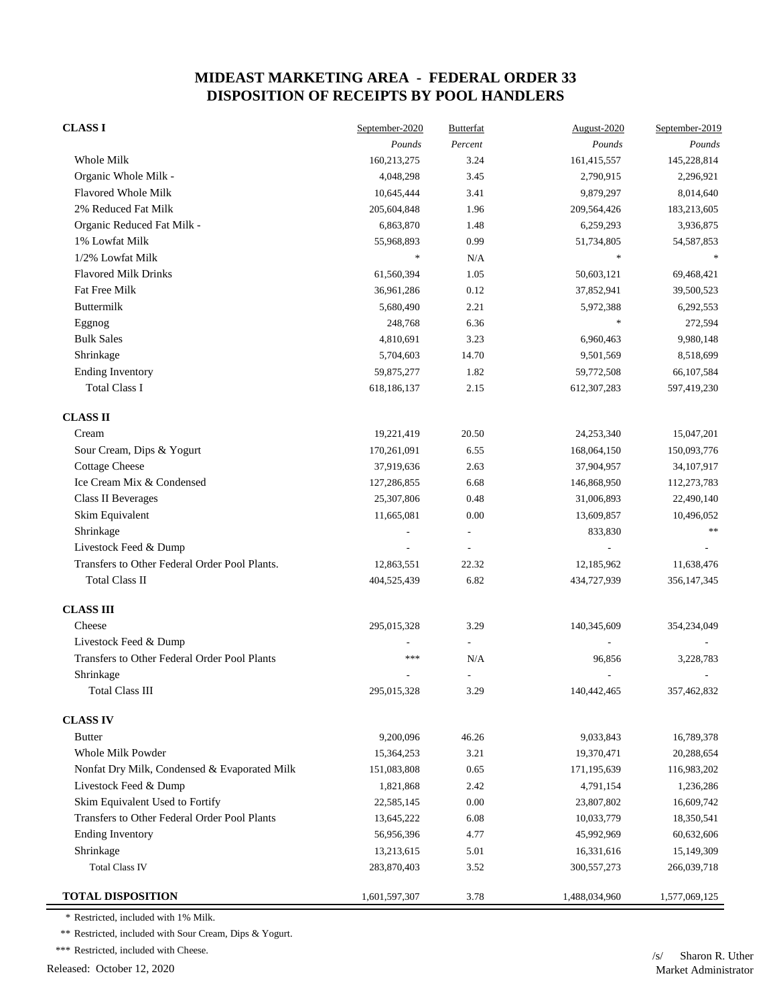| <b>CLASS I</b>                                | September-2020 | <b>Butterfat</b> | August-2020              | September-2019 |
|-----------------------------------------------|----------------|------------------|--------------------------|----------------|
|                                               | Pounds         | Percent          | Pounds                   | Pounds         |
| <b>Whole Milk</b>                             | 160,213,275    | 3.24             | 161,415,557              | 145,228,814    |
| Organic Whole Milk -                          | 4,048,298      | 3.45             | 2,790,915                | 2,296,921      |
| <b>Flavored Whole Milk</b>                    | 10,645,444     | 3.41             | 9,879,297                | 8,014,640      |
| 2% Reduced Fat Milk                           | 205,604,848    | 1.96             | 209,564,426              | 183,213,605    |
| Organic Reduced Fat Milk -                    | 6,863,870      | 1.48             | 6,259,293                | 3,936,875      |
| 1% Lowfat Milk                                | 55,968,893     | 0.99             | 51,734,805               | 54, 587, 853   |
| 1/2% Lowfat Milk                              | $\ast$         | N/A              | $\ast$                   |                |
| <b>Flavored Milk Drinks</b>                   | 61,560,394     | 1.05             | 50,603,121               | 69,468,421     |
| Fat Free Milk                                 | 36,961,286     | 0.12             | 37,852,941               | 39,500,523     |
| <b>Buttermilk</b>                             | 5,680,490      | 2.21             | 5,972,388                | 6,292,553      |
| Eggnog                                        | 248,768        | 6.36             | $\ast$                   | 272,594        |
| <b>Bulk Sales</b>                             | 4,810,691      | 3.23             | 6,960,463                | 9,980,148      |
| Shrinkage                                     | 5,704,603      | 14.70            | 9,501,569                | 8,518,699      |
| <b>Ending Inventory</b>                       | 59,875,277     | 1.82             | 59,772,508               | 66,107,584     |
| <b>Total Class I</b>                          | 618,186,137    | 2.15             | 612,307,283              | 597,419,230    |
| <b>CLASS II</b>                               |                |                  |                          |                |
| Cream                                         | 19,221,419     | 20.50            | 24,253,340               | 15,047,201     |
| Sour Cream, Dips & Yogurt                     | 170,261,091    | 6.55             | 168,064,150              | 150,093,776    |
| <b>Cottage Cheese</b>                         | 37,919,636     | 2.63             | 37,904,957               | 34,107,917     |
| Ice Cream Mix & Condensed                     | 127,286,855    | 6.68             | 146,868,950              | 112,273,783    |
| <b>Class II Beverages</b>                     | 25,307,806     | 0.48             | 31,006,893               | 22,490,140     |
| Skim Equivalent                               | 11,665,081     | 0.00             | 13,609,857               | 10,496,052     |
| Shrinkage                                     |                |                  | 833,830                  | $**$           |
| Livestock Feed & Dump                         |                | $\overline{a}$   |                          |                |
| Transfers to Other Federal Order Pool Plants. | 12,863,551     | 22.32            | 12,185,962               | 11,638,476     |
| <b>Total Class II</b>                         | 404,525,439    | 6.82             | 434,727,939              | 356, 147, 345  |
| <b>CLASS III</b>                              |                |                  |                          |                |
| Cheese                                        | 295,015,328    | 3.29             | 140,345,609              | 354,234,049    |
| Livestock Feed & Dump                         |                |                  |                          |                |
| Transfers to Other Federal Order Pool Plants  | ***            | N/A              | 96,856                   | 3,228,783      |
| Shrinkage                                     |                |                  | $\overline{\phantom{a}}$ |                |
| <b>Total Class III</b>                        | 295,015,328    | 3.29             | 140,442,465              | 357,462,832    |
| <b>CLASS IV</b>                               |                |                  |                          |                |
| <b>Butter</b>                                 | 9,200,096      | 46.26            | 9,033,843                | 16,789,378     |
| Whole Milk Powder                             | 15,364,253     | 3.21             | 19,370,471               | 20,288,654     |
| Nonfat Dry Milk, Condensed & Evaporated Milk  | 151,083,808    | 0.65             | 171,195,639              | 116,983,202    |
| Livestock Feed & Dump                         | 1,821,868      | 2.42             | 4,791,154                | 1,236,286      |
| Skim Equivalent Used to Fortify               | 22,585,145     | 0.00             | 23,807,802               | 16,609,742     |
| Transfers to Other Federal Order Pool Plants  | 13,645,222     | 6.08             | 10,033,779               | 18,350,541     |
| <b>Ending Inventory</b>                       | 56,956,396     | 4.77             | 45,992,969               | 60,632,606     |
| Shrinkage                                     | 13,213,615     | 5.01             | 16,331,616               | 15,149,309     |
| <b>Total Class IV</b>                         | 283,870,403    | 3.52             | 300,557,273              | 266,039,718    |
| <b>TOTAL DISPOSITION</b>                      | 1,601,597,307  | 3.78             | 1,488,034,960            | 1,577,069,125  |

\* Restricted, included with 1% Milk.

\*\* Restricted, included with Sour Cream, Dips & Yogurt.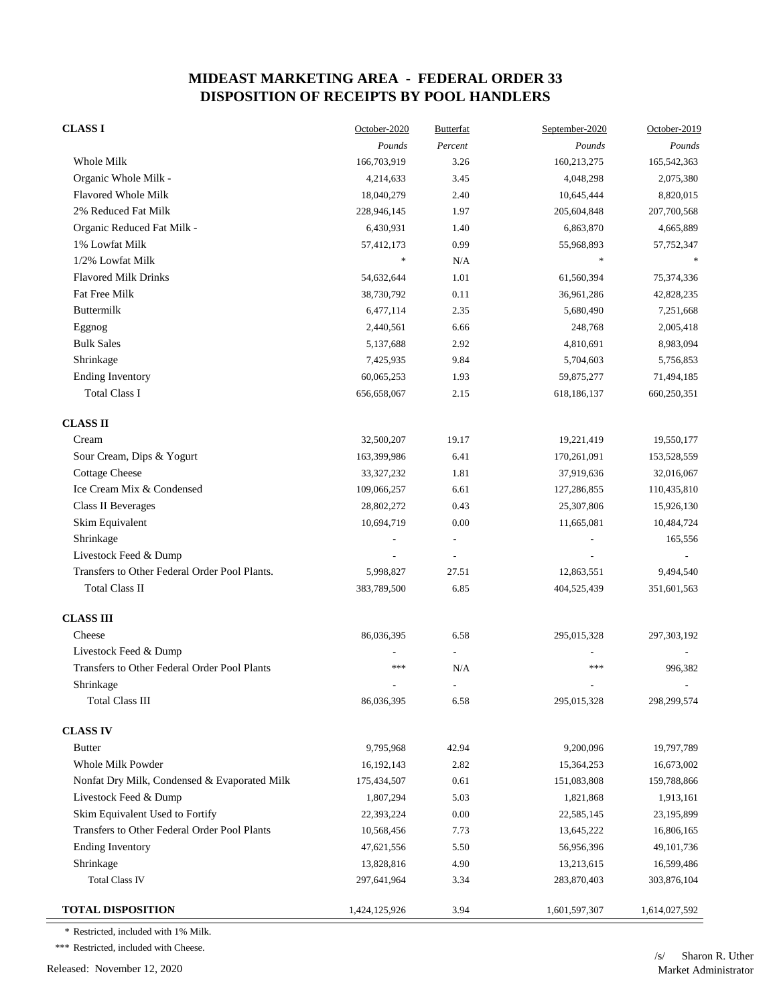| <b>CLASS I</b>                                | October-2020  | <b>Butterfat</b> | September-2020 | October-2019  |
|-----------------------------------------------|---------------|------------------|----------------|---------------|
|                                               | Pounds        | Percent          | Pounds         | Pounds        |
| Whole Milk                                    | 166,703,919   | 3.26             | 160,213,275    | 165,542,363   |
| Organic Whole Milk -                          | 4,214,633     | 3.45             | 4,048,298      | 2,075,380     |
| Flavored Whole Milk                           | 18,040,279    | 2.40             | 10,645,444     | 8,820,015     |
| 2% Reduced Fat Milk                           | 228,946,145   | 1.97             | 205,604,848    | 207,700,568   |
| Organic Reduced Fat Milk -                    | 6,430,931     | 1.40             | 6,863,870      | 4,665,889     |
| 1% Lowfat Milk                                | 57,412,173    | 0.99             | 55,968,893     | 57,752,347    |
| 1/2% Lowfat Milk                              | *             | N/A              | $\ast$         |               |
| <b>Flavored Milk Drinks</b>                   | 54,632,644    | 1.01             | 61,560,394     | 75,374,336    |
| Fat Free Milk                                 | 38,730,792    | 0.11             | 36,961,286     | 42,828,235    |
| <b>Buttermilk</b>                             | 6,477,114     | 2.35             | 5,680,490      | 7,251,668     |
| Eggnog                                        | 2,440,561     | 6.66             | 248,768        | 2,005,418     |
| <b>Bulk Sales</b>                             | 5,137,688     | 2.92             | 4,810,691      | 8,983,094     |
| Shrinkage                                     | 7,425,935     | 9.84             | 5,704,603      | 5,756,853     |
| <b>Ending Inventory</b>                       | 60,065,253    | 1.93             | 59,875,277     | 71,494,185    |
| <b>Total Class I</b>                          | 656,658,067   | 2.15             | 618,186,137    | 660,250,351   |
| <b>CLASS II</b>                               |               |                  |                |               |
| Cream                                         | 32,500,207    | 19.17            | 19,221,419     | 19,550,177    |
| Sour Cream, Dips & Yogurt                     | 163,399,986   | 6.41             | 170,261,091    | 153,528,559   |
| <b>Cottage Cheese</b>                         | 33, 327, 232  | 1.81             | 37,919,636     | 32,016,067    |
| Ice Cream Mix & Condensed                     | 109,066,257   | 6.61             | 127,286,855    | 110,435,810   |
| Class II Beverages                            | 28,802,272    | 0.43             | 25,307,806     | 15,926,130    |
| Skim Equivalent                               | 10,694,719    | 0.00             | 11,665,081     | 10,484,724    |
| Shrinkage                                     |               |                  |                | 165,556       |
| Livestock Feed & Dump                         |               |                  |                |               |
| Transfers to Other Federal Order Pool Plants. | 5,998,827     | 27.51            | 12,863,551     | 9,494,540     |
| <b>Total Class II</b>                         | 383,789,500   | 6.85             | 404,525,439    | 351,601,563   |
| <b>CLASS III</b>                              |               |                  |                |               |
| Cheese                                        | 86,036,395    | 6.58             | 295,015,328    | 297,303,192   |
| Livestock Feed & Dump                         |               |                  |                |               |
| Transfers to Other Federal Order Pool Plants  | ***           | N/A              | ***            | 996,382       |
| Shrinkage                                     |               |                  |                |               |
| <b>Total Class III</b>                        | 86,036,395    | 6.58             | 295,015,328    | 298,299,574   |
| <b>CLASS IV</b>                               |               |                  |                |               |
| <b>Butter</b>                                 | 9,795,968     | 42.94            | 9,200,096      | 19,797,789    |
| Whole Milk Powder                             | 16,192,143    | 2.82             | 15,364,253     | 16,673,002    |
| Nonfat Dry Milk, Condensed & Evaporated Milk  | 175,434,507   | 0.61             | 151,083,808    | 159,788,866   |
| Livestock Feed & Dump                         | 1,807,294     | 5.03             | 1,821,868      | 1,913,161     |
| Skim Equivalent Used to Fortify               | 22,393,224    | 0.00             | 22,585,145     | 23,195,899    |
| Transfers to Other Federal Order Pool Plants  | 10,568,456    | 7.73             | 13,645,222     | 16,806,165    |
| <b>Ending Inventory</b>                       | 47,621,556    | 5.50             | 56,956,396     | 49,101,736    |
| Shrinkage                                     | 13,828,816    | 4.90             | 13,213,615     | 16,599,486    |
| <b>Total Class IV</b>                         | 297,641,964   | 3.34             | 283,870,403    | 303,876,104   |
| <b>TOTAL DISPOSITION</b>                      | 1,424,125,926 | 3.94             | 1,601,597,307  | 1,614,027,592 |

\* Restricted, included with 1% Milk.

\*\*\* Restricted, included with Cheese.

Released: November 12, 2020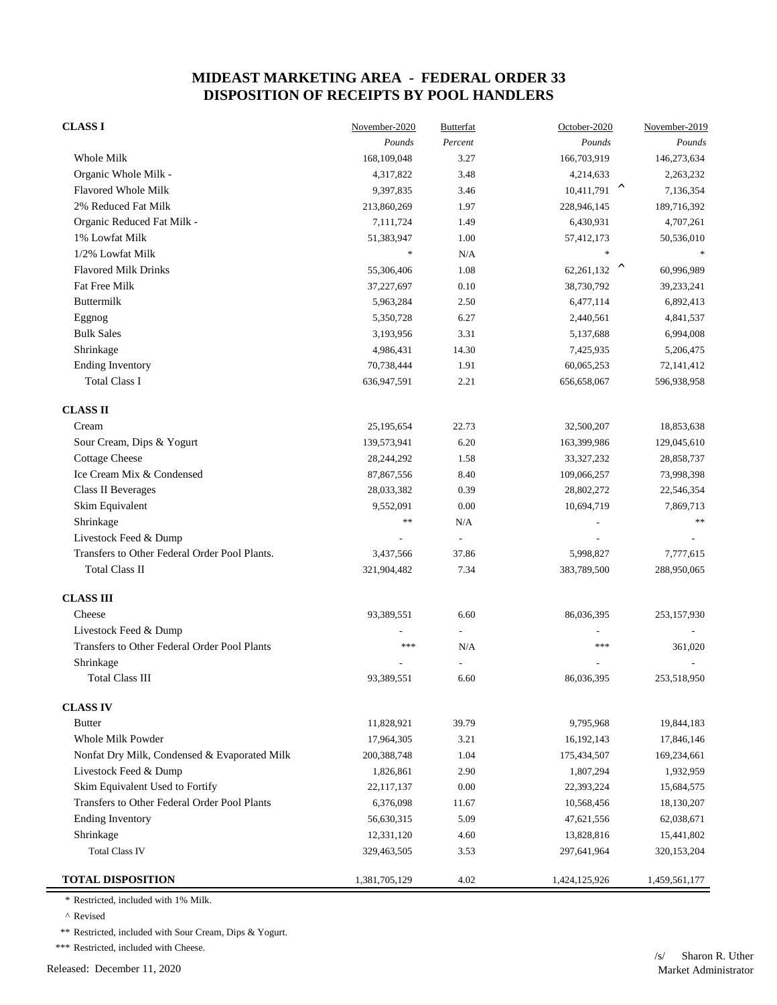| <b>CLASS I</b>                                | November-2020 | <b>Butterfat</b> | October-2020              | November-2019 |
|-----------------------------------------------|---------------|------------------|---------------------------|---------------|
|                                               | Pounds        | Percent          | Pounds                    | Pounds        |
| Whole Milk                                    | 168,109,048   | 3.27             | 166,703,919               | 146,273,634   |
| Organic Whole Milk -                          | 4,317,822     | 3.48             | 4,214,633                 | 2,263,232     |
| <b>Flavored Whole Milk</b>                    | 9,397,835     | 3.46             | $10,411,791$ <sup>^</sup> | 7,136,354     |
| 2% Reduced Fat Milk                           | 213,860,269   | 1.97             | 228,946,145               | 189,716,392   |
| Organic Reduced Fat Milk -                    | 7,111,724     | 1.49             | 6,430,931                 | 4,707,261     |
| 1% Lowfat Milk                                | 51,383,947    | 1.00             | 57,412,173                | 50,536,010    |
| 1/2% Lowfat Milk                              | $\ast$        | N/A              | $\ast$                    |               |
| <b>Flavored Milk Drinks</b>                   | 55,306,406    | 1.08             | 62,261,132 $^{\circ}$     | 60,996,989    |
| Fat Free Milk                                 | 37,227,697    | 0.10             | 38,730,792                | 39,233,241    |
| <b>Buttermilk</b>                             | 5,963,284     | 2.50             | 6,477,114                 | 6,892,413     |
| Eggnog                                        | 5,350,728     | 6.27             | 2,440,561                 | 4,841,537     |
| <b>Bulk Sales</b>                             | 3,193,956     | 3.31             | 5,137,688                 | 6,994,008     |
| Shrinkage                                     | 4,986,431     | 14.30            | 7,425,935                 | 5,206,475     |
| <b>Ending Inventory</b>                       | 70,738,444    | 1.91             | 60,065,253                | 72,141,412    |
| <b>Total Class I</b>                          | 636,947,591   | 2.21             | 656,658,067               | 596,938,958   |
| <b>CLASS II</b>                               |               |                  |                           |               |
| Cream                                         | 25,195,654    | 22.73            | 32,500,207                | 18,853,638    |
| Sour Cream, Dips & Yogurt                     | 139,573,941   | 6.20             | 163,399,986               | 129,045,610   |
| <b>Cottage Cheese</b>                         | 28,244,292    | 1.58             | 33, 327, 232              | 28,858,737    |
| Ice Cream Mix & Condensed                     | 87,867,556    | 8.40             | 109,066,257               | 73,998,398    |
| Class II Beverages                            | 28,033,382    | 0.39             | 28,802,272                | 22,546,354    |
| Skim Equivalent                               | 9,552,091     | 0.00             | 10,694,719                | 7,869,713     |
| Shrinkage                                     | **            | N/A              |                           | $**$          |
| Livestock Feed & Dump                         |               | $\overline{a}$   |                           |               |
| Transfers to Other Federal Order Pool Plants. | 3,437,566     | 37.86            | 5,998,827                 | 7,777,615     |
| <b>Total Class II</b>                         | 321,904,482   | 7.34             | 383,789,500               | 288,950,065   |
| <b>CLASS III</b>                              |               |                  |                           |               |
| Cheese                                        | 93,389,551    | 6.60             | 86,036,395                | 253,157,930   |
| Livestock Feed & Dump                         |               |                  |                           |               |
| Transfers to Other Federal Order Pool Plants  | ***           | N/A              | ***                       | 361,020       |
| Shrinkage                                     |               |                  |                           |               |
| Total Class III                               | 93,389,551    | 6.60             | 86,036,395                | 253,518,950   |
| <b>CLASS IV</b>                               |               |                  |                           |               |
| <b>Butter</b>                                 | 11,828,921    | 39.79            | 9,795,968                 | 19,844,183    |
| Whole Milk Powder                             | 17,964,305    | 3.21             | 16,192,143                | 17,846,146    |
| Nonfat Dry Milk, Condensed & Evaporated Milk  | 200,388,748   | 1.04             | 175,434,507               | 169,234,661   |
| Livestock Feed & Dump                         | 1,826,861     | 2.90             | 1,807,294                 | 1,932,959     |
| Skim Equivalent Used to Fortify               | 22,117,137    | 0.00             | 22,393,224                | 15,684,575    |
| Transfers to Other Federal Order Pool Plants  | 6,376,098     | 11.67            | 10,568,456                | 18,130,207    |
| <b>Ending Inventory</b>                       | 56,630,315    | 5.09             | 47,621,556                | 62,038,671    |
| Shrinkage                                     | 12,331,120    | 4.60             | 13,828,816                | 15,441,802    |
| <b>Total Class IV</b>                         | 329,463,505   | 3.53             | 297,641,964               | 320,153,204   |
| <b>TOTAL DISPOSITION</b>                      | 1,381,705,129 | 4.02             | 1,424,125,926             | 1,459,561,177 |

\* Restricted, included with 1% Milk.

 $^\wedge$  Revised

\*\* Restricted, included with Sour Cream, Dips & Yogurt.